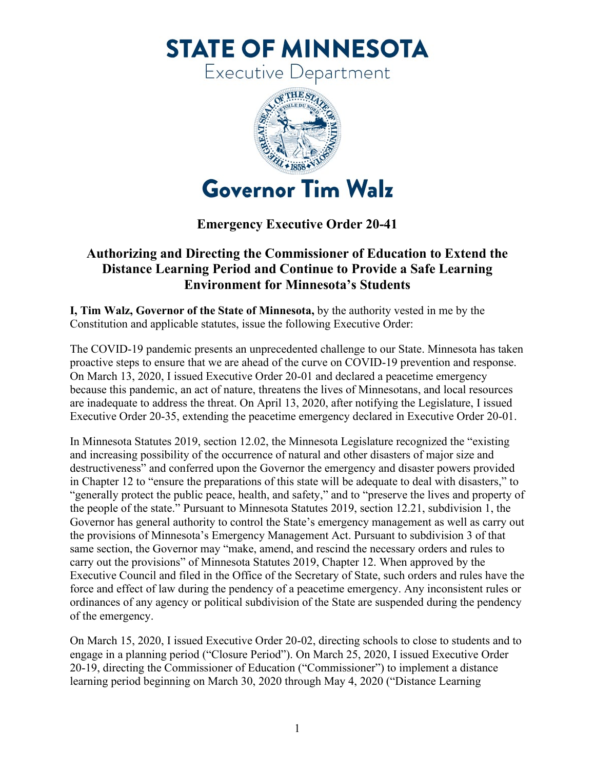**STATE OF MINNESOTA** 

Executive Department



## **Emergency Executive Order 20-41**

## **Authorizing and Directing the Commissioner of Education to Extend the Distance Learning Period and Continue to Provide a Safe Learning Environment for Minnesota's Students**

**I, Tim Walz, Governor of the State of Minnesota,** by the authority vested in me by the Constitution and applicable statutes, issue the following Executive Order:

The COVID-19 pandemic presents an unprecedented challenge to our State. Minnesota has taken proactive steps to ensure that we are ahead of the curve on COVID-19 prevention and response. On March 13, 2020, I issued Executive Order 20-01 and declared a peacetime emergency because this pandemic, an act of nature, threatens the lives of Minnesotans, and local resources are inadequate to address the threat. On April 13, 2020, after notifying the Legislature, I issued Executive Order 20-35, extending the peacetime emergency declared in Executive Order 20-01.

In Minnesota Statutes 2019, section 12.02, the Minnesota Legislature recognized the "existing and increasing possibility of the occurrence of natural and other disasters of major size and destructiveness" and conferred upon the Governor the emergency and disaster powers provided in Chapter 12 to "ensure the preparations of this state will be adequate to deal with disasters," to "generally protect the public peace, health, and safety," and to "preserve the lives and property of the people of the state." Pursuant to Minnesota Statutes 2019, section 12.21, subdivision 1, the Governor has general authority to control the State's emergency management as well as carry out the provisions of Minnesota's Emergency Management Act. Pursuant to subdivision 3 of that same section, the Governor may "make, amend, and rescind the necessary orders and rules to carry out the provisions" of Minnesota Statutes 2019, Chapter 12. When approved by the Executive Council and filed in the Office of the Secretary of State, such orders and rules have the force and effect of law during the pendency of a peacetime emergency. Any inconsistent rules or ordinances of any agency or political subdivision of the State are suspended during the pendency of the emergency.

On March 15, 2020, I issued Executive Order 20-02, directing schools to close to students and to engage in a planning period ("Closure Period"). On March 25, 2020, I issued Executive Order 20-19, directing the Commissioner of Education ("Commissioner") to implement a distance learning period beginning on March 30, 2020 through May 4, 2020 ("Distance Learning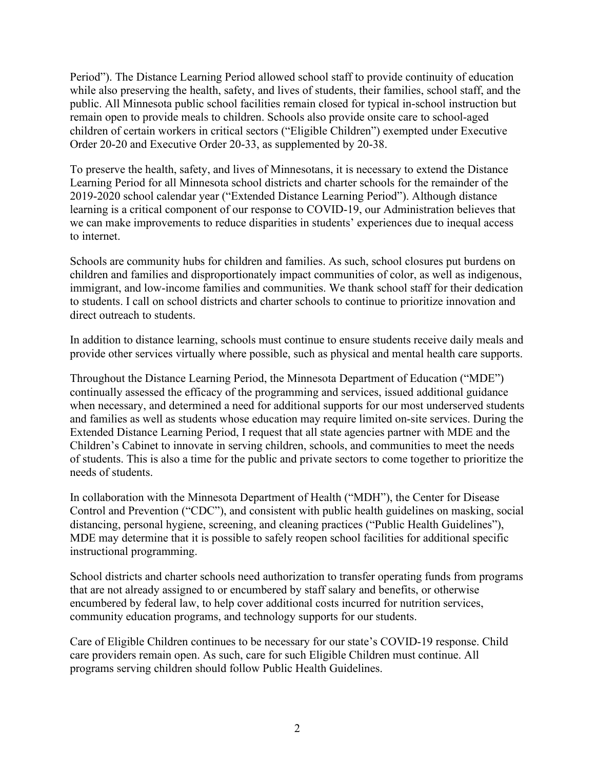Period"). The Distance Learning Period allowed school staff to provide continuity of education while also preserving the health, safety, and lives of students, their families, school staff, and the public. All Minnesota public school facilities remain closed for typical in-school instruction but remain open to provide meals to children. Schools also provide onsite care to school-aged children of certain workers in critical sectors ("Eligible Children") exempted under Executive Order 20-20 and Executive Order 20-33, as supplemented by 20-38.

To preserve the health, safety, and lives of Minnesotans, it is necessary to extend the Distance Learning Period for all Minnesota school districts and charter schools for the remainder of the 2019-2020 school calendar year ("Extended Distance Learning Period"). Although distance learning is a critical component of our response to COVID-19, our Administration believes that we can make improvements to reduce disparities in students' experiences due to inequal access to internet.

Schools are community hubs for children and families. As such, school closures put burdens on children and families and disproportionately impact communities of color, as well as indigenous, immigrant, and low-income families and communities. We thank school staff for their dedication to students. I call on school districts and charter schools to continue to prioritize innovation and direct outreach to students.

In addition to distance learning, schools must continue to ensure students receive daily meals and provide other services virtually where possible, such as physical and mental health care supports.

Throughout the Distance Learning Period, the Minnesota Department of Education ("MDE") continually assessed the efficacy of the programming and services, issued additional guidance when necessary, and determined a need for additional supports for our most underserved students and families as well as students whose education may require limited on-site services. During the Extended Distance Learning Period, I request that all state agencies partner with MDE and the Children's Cabinet to innovate in serving children, schools, and communities to meet the needs of students. This is also a time for the public and private sectors to come together to prioritize the needs of students.

In collaboration with the Minnesota Department of Health ("MDH"), the Center for Disease Control and Prevention ("CDC"), and consistent with public health guidelines on masking, social distancing, personal hygiene, screening, and cleaning practices ("Public Health Guidelines"), MDE may determine that it is possible to safely reopen school facilities for additional specific instructional programming.

School districts and charter schools need authorization to transfer operating funds from programs that are not already assigned to or encumbered by staff salary and benefits, or otherwise encumbered by federal law, to help cover additional costs incurred for nutrition services, community education programs, and technology supports for our students.

Care of Eligible Children continues to be necessary for our state's COVID-19 response. Child care providers remain open. As such, care for such Eligible Children must continue. All programs serving children should follow Public Health Guidelines.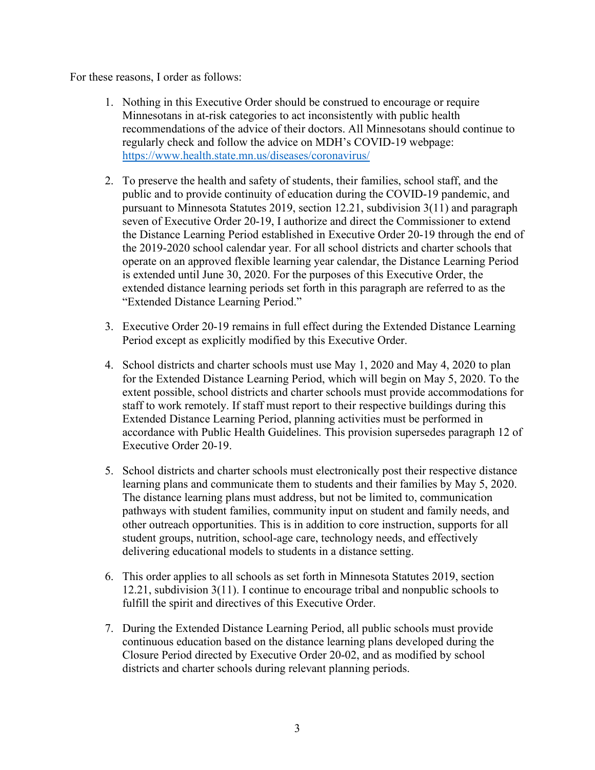For these reasons, I order as follows:

- 1. Nothing in this Executive Order should be construed to encourage or require Minnesotans in at-risk categories to act inconsistently with public health recommendations of the advice of their doctors. All Minnesotans should continue to regularly check and follow the advice on MDH's COVID-19 webpage: <https://www.health.state.mn.us/diseases/coronavirus/>
- 2. To preserve the health and safety of students, their families, school staff, and the public and to provide continuity of education during the COVID-19 pandemic, and pursuant to Minnesota Statutes 2019, section 12.21, subdivision 3(11) and paragraph seven of Executive Order 20-19, I authorize and direct the Commissioner to extend the Distance Learning Period established in Executive Order 20-19 through the end of the 2019-2020 school calendar year. For all school districts and charter schools that operate on an approved flexible learning year calendar, the Distance Learning Period is extended until June 30, 2020. For the purposes of this Executive Order, the extended distance learning periods set forth in this paragraph are referred to as the "Extended Distance Learning Period."
- 3. Executive Order 20-19 remains in full effect during the Extended Distance Learning Period except as explicitly modified by this Executive Order.
- 4. School districts and charter schools must use May 1, 2020 and May 4, 2020 to plan for the Extended Distance Learning Period, which will begin on May 5, 2020. To the extent possible, school districts and charter schools must provide accommodations for staff to work remotely. If staff must report to their respective buildings during this Extended Distance Learning Period, planning activities must be performed in accordance with Public Health Guidelines. This provision supersedes paragraph 12 of Executive Order 20-19.
- 5. School districts and charter schools must electronically post their respective distance learning plans and communicate them to students and their families by May 5, 2020. The distance learning plans must address, but not be limited to, communication pathways with student families, community input on student and family needs, and other outreach opportunities. This is in addition to core instruction, supports for all student groups, nutrition, school-age care, technology needs, and effectively delivering educational models to students in a distance setting.
- 6. This order applies to all schools as set forth in Minnesota Statutes 2019, section 12.21, subdivision 3(11). I continue to encourage tribal and nonpublic schools to fulfill the spirit and directives of this Executive Order.
- 7. During the Extended Distance Learning Period, all public schools must provide continuous education based on the distance learning plans developed during the Closure Period directed by Executive Order 20-02, and as modified by school districts and charter schools during relevant planning periods.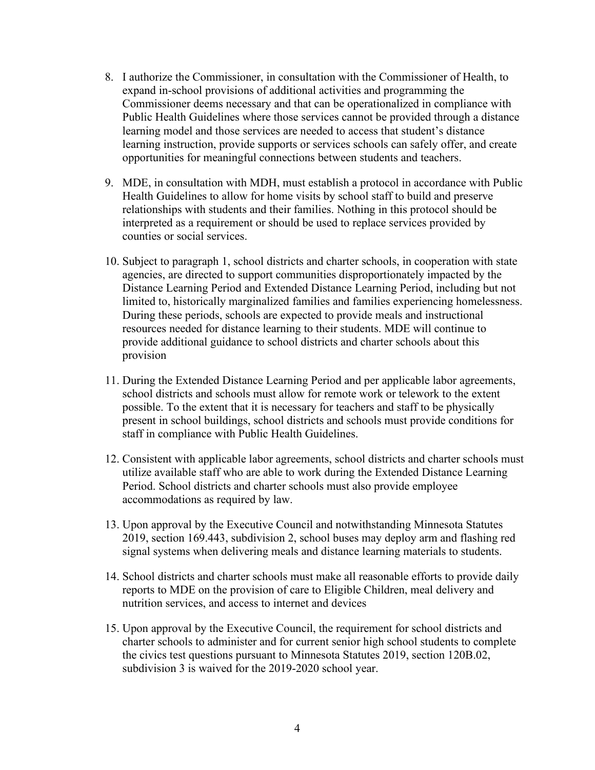- 8. I authorize the Commissioner, in consultation with the Commissioner of Health, to expand in-school provisions of additional activities and programming the Commissioner deems necessary and that can be operationalized in compliance with Public Health Guidelines where those services cannot be provided through a distance learning model and those services are needed to access that student's distance learning instruction, provide supports or services schools can safely offer, and create opportunities for meaningful connections between students and teachers.
- 9. MDE, in consultation with MDH, must establish a protocol in accordance with Public Health Guidelines to allow for home visits by school staff to build and preserve relationships with students and their families. Nothing in this protocol should be interpreted as a requirement or should be used to replace services provided by counties or social services.
- 10. Subject to paragraph 1, school districts and charter schools, in cooperation with state agencies, are directed to support communities disproportionately impacted by the Distance Learning Period and Extended Distance Learning Period, including but not limited to, historically marginalized families and families experiencing homelessness. During these periods, schools are expected to provide meals and instructional resources needed for distance learning to their students. MDE will continue to provide additional guidance to school districts and charter schools about this provision
- 11. During the Extended Distance Learning Period and per applicable labor agreements, school districts and schools must allow for remote work or telework to the extent possible. To the extent that it is necessary for teachers and staff to be physically present in school buildings, school districts and schools must provide conditions for staff in compliance with Public Health Guidelines.
- 12. Consistent with applicable labor agreements, school districts and charter schools must utilize available staff who are able to work during the Extended Distance Learning Period. School districts and charter schools must also provide employee accommodations as required by law.
- 13. Upon approval by the Executive Council and notwithstanding Minnesota Statutes 2019, section 169.443, subdivision 2, school buses may deploy arm and flashing red signal systems when delivering meals and distance learning materials to students.
- 14. School districts and charter schools must make all reasonable efforts to provide daily reports to MDE on the provision of care to Eligible Children, meal delivery and nutrition services, and access to internet and devices
- 15. Upon approval by the Executive Council, the requirement for school districts and charter schools to administer and for current senior high school students to complete the civics test questions pursuant to Minnesota Statutes 2019, section 120B.02, subdivision 3 is waived for the 2019-2020 school year.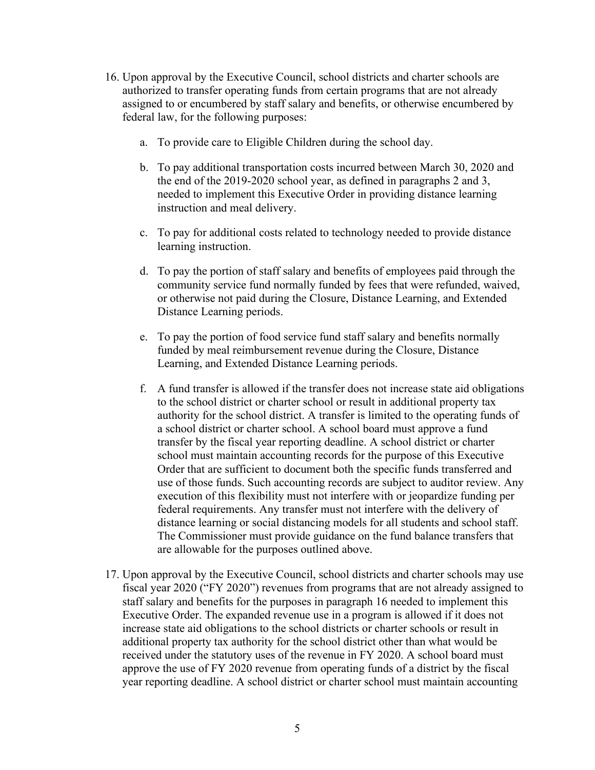- 16. Upon approval by the Executive Council, school districts and charter schools are authorized to transfer operating funds from certain programs that are not already assigned to or encumbered by staff salary and benefits, or otherwise encumbered by federal law, for the following purposes:
	- a. To provide care to Eligible Children during the school day.
	- b. To pay additional transportation costs incurred between March 30, 2020 and the end of the 2019-2020 school year, as defined in paragraphs 2 and 3, needed to implement this Executive Order in providing distance learning instruction and meal delivery.
	- c. To pay for additional costs related to technology needed to provide distance learning instruction.
	- d. To pay the portion of staff salary and benefits of employees paid through the community service fund normally funded by fees that were refunded, waived, or otherwise not paid during the Closure, Distance Learning, and Extended Distance Learning periods.
	- e. To pay the portion of food service fund staff salary and benefits normally funded by meal reimbursement revenue during the Closure, Distance Learning, and Extended Distance Learning periods.
	- f. A fund transfer is allowed if the transfer does not increase state aid obligations to the school district or charter school or result in additional property tax authority for the school district. A transfer is limited to the operating funds of a school district or charter school. A school board must approve a fund transfer by the fiscal year reporting deadline. A school district or charter school must maintain accounting records for the purpose of this Executive Order that are sufficient to document both the specific funds transferred and use of those funds. Such accounting records are subject to auditor review. Any execution of this flexibility must not interfere with or jeopardize funding per federal requirements. Any transfer must not interfere with the delivery of distance learning or social distancing models for all students and school staff. The Commissioner must provide guidance on the fund balance transfers that are allowable for the purposes outlined above.
- 17. Upon approval by the Executive Council, school districts and charter schools may use fiscal year 2020 ("FY 2020") revenues from programs that are not already assigned to staff salary and benefits for the purposes in paragraph 16 needed to implement this Executive Order. The expanded revenue use in a program is allowed if it does not increase state aid obligations to the school districts or charter schools or result in additional property tax authority for the school district other than what would be received under the statutory uses of the revenue in FY 2020. A school board must approve the use of FY 2020 revenue from operating funds of a district by the fiscal year reporting deadline. A school district or charter school must maintain accounting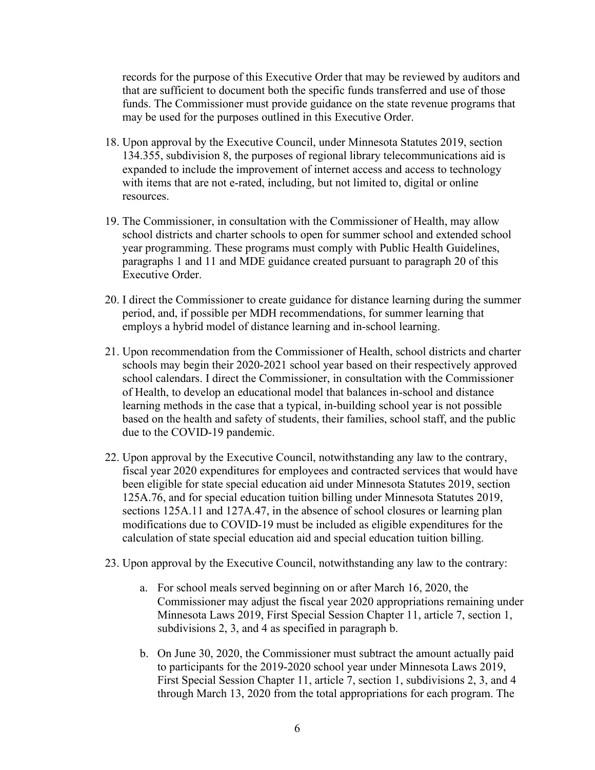records for the purpose of this Executive Order that may be reviewed by auditors and that are sufficient to document both the specific funds transferred and use of those funds. The Commissioner must provide guidance on the state revenue programs that may be used for the purposes outlined in this Executive Order.

- 18. Upon approval by the Executive Council, under Minnesota Statutes 2019, section 134.355, subdivision 8, the purposes of regional library telecommunications aid is expanded to include the improvement of internet access and access to technology with items that are not e-rated, including, but not limited to, digital or online resources.
- 19. The Commissioner, in consultation with the Commissioner of Health, may allow school districts and charter schools to open for summer school and extended school year programming. These programs must comply with Public Health Guidelines, paragraphs 1 and 11 and MDE guidance created pursuant to paragraph 20 of this Executive Order.
- 20. I direct the Commissioner to create guidance for distance learning during the summer period, and, if possible per MDH recommendations, for summer learning that employs a hybrid model of distance learning and in-school learning.
- 21. Upon recommendation from the Commissioner of Health, school districts and charter schools may begin their 2020-2021 school year based on their respectively approved school calendars. I direct the Commissioner, in consultation with the Commissioner of Health, to develop an educational model that balances in-school and distance learning methods in the case that a typical, in-building school year is not possible based on the health and safety of students, their families, school staff, and the public due to the COVID-19 pandemic.
- 22. Upon approval by the Executive Council, notwithstanding any law to the contrary, fiscal year 2020 expenditures for employees and contracted services that would have been eligible for state special education aid under Minnesota Statutes 2019, section 125A.76, and for special education tuition billing under Minnesota Statutes 2019, sections 125A.11 and 127A.47, in the absence of school closures or learning plan modifications due to COVID-19 must be included as eligible expenditures for the calculation of state special education aid and special education tuition billing.
- 23. Upon approval by the Executive Council, notwithstanding any law to the contrary:
	- a. For school meals served beginning on or after March 16, 2020, the Commissioner may adjust the fiscal year 2020 appropriations remaining under Minnesota Laws 2019, First Special Session Chapter 11, article 7, section 1, subdivisions 2, 3, and 4 as specified in paragraph b.
	- b. On June 30, 2020, the Commissioner must subtract the amount actually paid to participants for the 2019-2020 school year under Minnesota Laws 2019, First Special Session Chapter 11, article 7, section 1, subdivisions 2, 3, and 4 through March 13, 2020 from the total appropriations for each program. The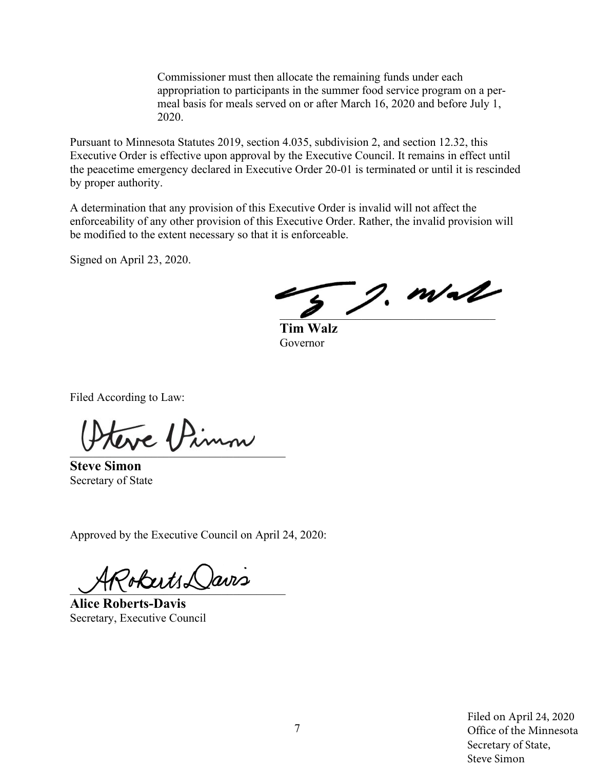Commissioner must then allocate the remaining funds under each appropriation to participants in the summer food service program on a permeal basis for meals served on or after March 16, 2020 and before July 1, 2020.

Pursuant to Minnesota Statutes 2019, section 4.035, subdivision 2, and section 12.32, this Executive Order is effective upon approval by the Executive Council. It remains in effect until the peacetime emergency declared in Executive Order 20-01 is terminated or until it is rescinded by proper authority.

A determination that any provision of this Executive Order is invalid will not affect the enforceability of any other provision of this Executive Order. Rather, the invalid provision will be modified to the extent necessary so that it is enforceable.

Signed on April 23, 2020.

 $j$ , m/al

**Tim Walz** Governor

Filed According to Law:

teve Pinn

**Steve Simon** Secretary of State

Approved by the Executive Council on April 24, 2020:

PobertsDavis

**Alice Roberts-Davis** Secretary, Executive Council

Filed on April 24, 2020 Office of the Minnesota Secretary of State, Steve Simon